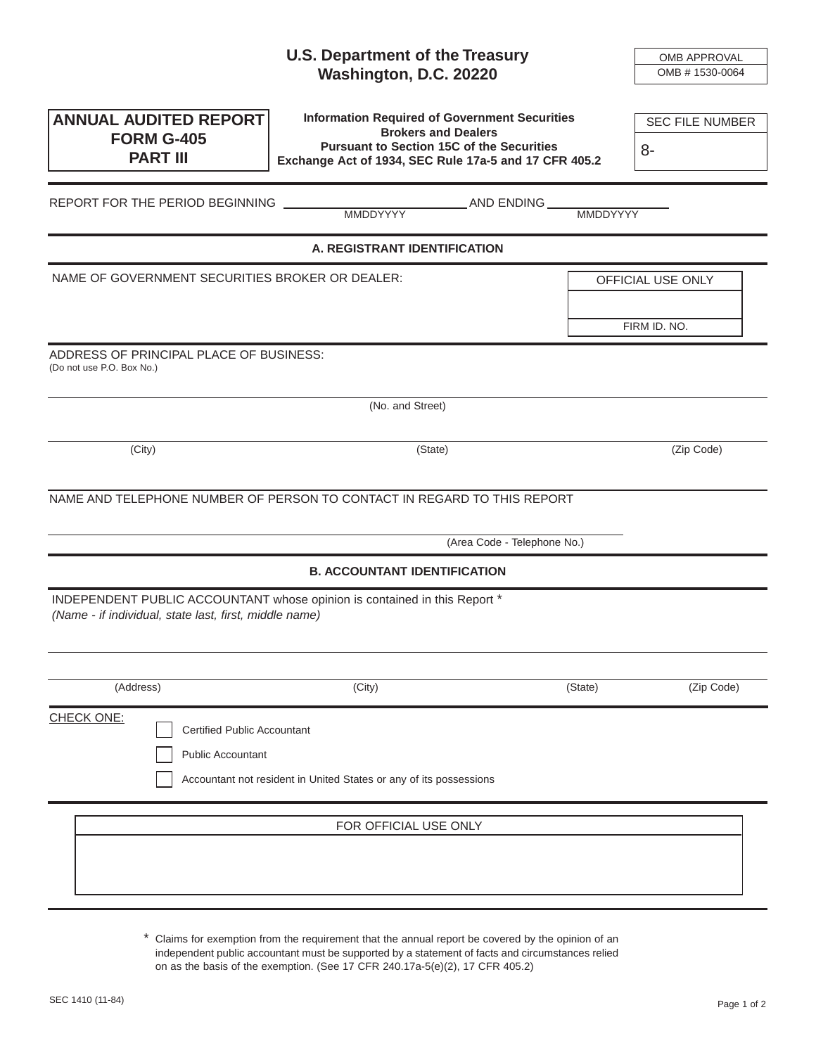|                                                        | <b>U.S. Department of the Treasury</b>                                                                    |                 | OMB APPROVAL           |
|--------------------------------------------------------|-----------------------------------------------------------------------------------------------------------|-----------------|------------------------|
|                                                        | Washington, D.C. 20220                                                                                    |                 | OMB # 1530-0064        |
|                                                        | <b>Information Required of Government Securities</b>                                                      |                 |                        |
| <b>ANNUAL AUDITED REPORT</b><br><b>FORM G-405</b>      | <b>Brokers and Dealers</b>                                                                                |                 | <b>SEC FILE NUMBER</b> |
| <b>PART III</b>                                        | <b>Pursuant to Section 15C of the Securities</b><br>Exchange Act of 1934, SEC Rule 17a-5 and 17 CFR 405.2 |                 | 8-                     |
|                                                        |                                                                                                           |                 |                        |
| REPORT FOR THE PERIOD BEGINNING                        | AND ENDING __<br><b>MMDDYYYY</b>                                                                          | <b>MMDDYYYY</b> |                        |
|                                                        | A. REGISTRANT IDENTIFICATION                                                                              |                 |                        |
| NAME OF GOVERNMENT SECURITIES BROKER OR DEALER:        |                                                                                                           |                 | OFFICIAL USE ONLY      |
|                                                        |                                                                                                           |                 |                        |
|                                                        |                                                                                                           |                 | FIRM ID. NO.           |
| ADDRESS OF PRINCIPAL PLACE OF BUSINESS:                |                                                                                                           |                 |                        |
| (Do not use P.O. Box No.)                              |                                                                                                           |                 |                        |
|                                                        | (No. and Street)                                                                                          |                 |                        |
|                                                        |                                                                                                           |                 |                        |
| (City)                                                 | (State)                                                                                                   |                 | (Zip Code)             |
|                                                        |                                                                                                           |                 |                        |
|                                                        | NAME AND TELEPHONE NUMBER OF PERSON TO CONTACT IN REGARD TO THIS REPORT                                   |                 |                        |
|                                                        | (Area Code - Telephone No.)                                                                               |                 |                        |
|                                                        | <b>B. ACCOUNTANT IDENTIFICATION</b>                                                                       |                 |                        |
|                                                        | INDEPENDENT PUBLIC ACCOUNTANT whose opinion is contained in this Report *                                 |                 |                        |
| (Name - if individual, state last, first, middle name) |                                                                                                           |                 |                        |
|                                                        |                                                                                                           |                 |                        |
| (Address)                                              | (City)                                                                                                    | (State)         | (Zip Code)             |
| <b>CHECK ONE:</b>                                      |                                                                                                           |                 |                        |
| <b>Certified Public Accountant</b>                     |                                                                                                           |                 |                        |
| <b>Public Accountant</b>                               |                                                                                                           |                 |                        |
|                                                        | Accountant not resident in United States or any of its possessions                                        |                 |                        |
|                                                        |                                                                                                           |                 |                        |
|                                                        | FOR OFFICIAL USE ONLY                                                                                     |                 |                        |
|                                                        |                                                                                                           |                 |                        |
|                                                        |                                                                                                           |                 |                        |
|                                                        |                                                                                                           |                 |                        |

\* Claims for exemption from the requirement that the annual report be covered by the opinion of an independent public accountant must be supported by a statement of facts and circumstances relied on as the basis of the exemption. (See 17 CFR 240.17a-5(e)(2), 17 CFR 405.2)